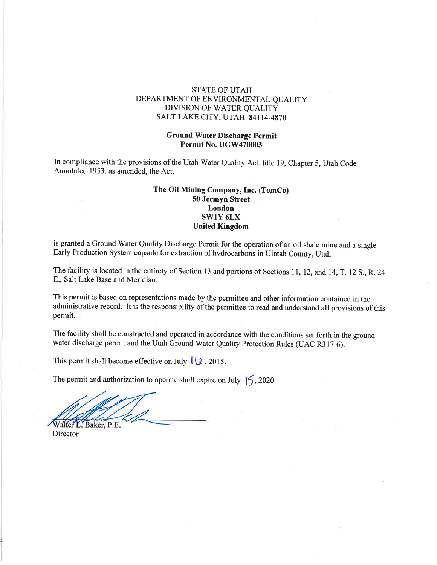### STATE OF UTAII DEPARTMENT OF ENVIRONMENTAL QUALITY DIVISION OF WATER QUALITY SALT LAKE CITY, UTAH 84114.4870

#### Ground Water Discharge Permit Permit No. UGW470003

In compliance with the provisions of the Utah Water Quality Act, title 19, Chapter 5, Utah Code Annotated 1953, as amended, the Act,

### The Oil Mining Company, Inc. (TomCo) 50 Jermyn Street London swlY 6LX United Kingdom

is granted a Ground Water Quality Discharge Permit for the operation of an oil shale mine and a single Early Production System capsule for extraction of hydrocarbons in Uintah County, Utah.

The facility is located in the entirety of Section 13 and portions of Sections 11, 12, and 14, T. 12 S., R. 24 8., Salt Lake Base and Meridian.

This permit is based on representations made by the permittee and other information contained in the administrative record. It is the responsibility of the permittee to read and understand all provisions of this permit.

The facility shall be constructed and operated in accordance with the conditions set forth in the ground water discharge permit and the Utah Ground Water Quality Protection Rules (UAC R3l7-6).

This permit shall become effective on July  $\left( \frac{\mu}{\mu} \right)$ , 2015.

The permit and authorization to operate shall expire on July  $\vert \mathcal{S}$ , 2020.

Walter L. Baker, P.E.

**Director**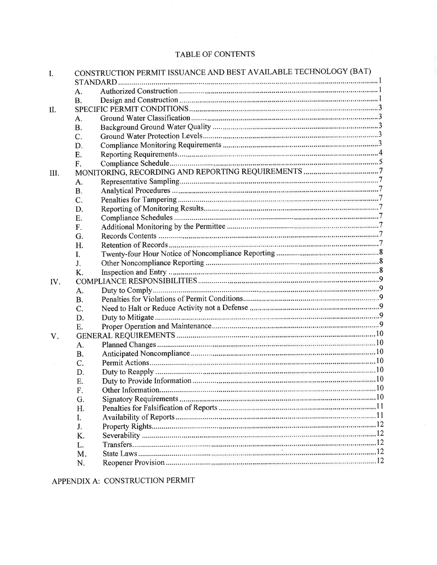# TABLE OF CONTENTS

| I.   | CONSTRUCTION PERMIT ISSUANCE AND BEST AVAILABLE TECHNOLOGY (BAT) |  |  |  |
|------|------------------------------------------------------------------|--|--|--|
|      | A.                                                               |  |  |  |
|      | <b>B.</b>                                                        |  |  |  |
|      |                                                                  |  |  |  |
| П.   |                                                                  |  |  |  |
|      | A.                                                               |  |  |  |
|      | <b>B.</b>                                                        |  |  |  |
|      | C.                                                               |  |  |  |
|      | D.                                                               |  |  |  |
|      | E.                                                               |  |  |  |
|      | F.                                                               |  |  |  |
| III. |                                                                  |  |  |  |
|      | А.                                                               |  |  |  |
|      | <b>B.</b>                                                        |  |  |  |
|      | C.                                                               |  |  |  |
|      | D.                                                               |  |  |  |
|      | E.                                                               |  |  |  |
|      | F.                                                               |  |  |  |
|      | G.                                                               |  |  |  |
|      | H.                                                               |  |  |  |
|      | I.                                                               |  |  |  |
|      | J.                                                               |  |  |  |
|      | K.                                                               |  |  |  |
| IV.  |                                                                  |  |  |  |
|      | A.                                                               |  |  |  |
|      | <b>B.</b>                                                        |  |  |  |
|      | C.                                                               |  |  |  |
|      | D.                                                               |  |  |  |
|      | E.                                                               |  |  |  |
| V.   |                                                                  |  |  |  |
|      | A.                                                               |  |  |  |
|      | <b>B.</b>                                                        |  |  |  |
|      | $C_{\cdot}$                                                      |  |  |  |
|      | D.                                                               |  |  |  |
|      | Ε.                                                               |  |  |  |
|      | F.                                                               |  |  |  |
|      | G.                                                               |  |  |  |
|      | H.                                                               |  |  |  |
|      | Ι.                                                               |  |  |  |
|      | J.                                                               |  |  |  |
|      | K.                                                               |  |  |  |
|      | L.                                                               |  |  |  |
|      | M.                                                               |  |  |  |
|      |                                                                  |  |  |  |
|      | N.                                                               |  |  |  |

APPENDIX A: CONSTRUCTION PERMIT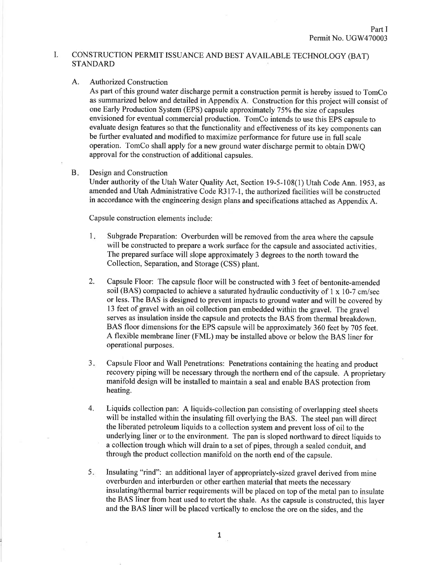#### I. CONSTRUCTION PERMIT ISSUANCE AND BEST AVAILABLE TECHNOLOGY (BAT) STANDARD

### A. Authorized Construction

As part of this ground water discharge permit a construction permit is hereby issued to TomCo as summarized below and detailed in Appendix A. Construction for this project will consist of one Early Production System (EPS) capsule approximately 75% the size of capsules envisioned for eventual commercial production. TomCo intends to use this EPS capsule to evaluate design features so that the functionality and effectiveness of its key components can be further evaluated and modified to maximize performance for future use in full scale operation. TomCo shall apply for a new ground water discharge permit to obtain DWQ approval for the construction of additional capsules.

#### Design and Construction  $B<sub>z</sub>$

Under authority of the Utah Water Quality Act, Section 19-5-108(1) Utah Code Ann. 1953, as amended and Utah Administrative Code R317-1, the authorized facilities will be constructed in accordance with the engineering design plans and specifications attached as Appendix A.

Capsule construction elements include:

- Subgrade Preparation: Overburden will be removed from the area where the capsule will be constructed to prepare a work surface for the capsule and associated activities. The prepared surface will slope approximately 3 degrees to the north toward the Collection, Separation, and Storage (CSS) plant.  $1<sub>x</sub>$
- Capsule Floor: The capsule floor will be constructed with 3 feet of bentonite-amended soil (BAS) compacted to achieve a saturated hydraulic conductivity of 1 x 10-7 cm/sec or less. The BAS is designed to prevent impacts to ground water and will be covered by 13 feet of gravel with an oil collection pan embedded within the gravel. The gravel serves as insulation inside the capsule and protects the BAS from thermal breakdown. BAS floor dimensions for the EPS capsule will be approximately 360 feet by 705 feet. A flexible membrane liner (FML) may be installed above or below the BAS liner for operational purposes. 2.
- Capsule Floor and Wall Penetrations: Penetrations containing the heating and product recovery piping will be necessary through the northern end of the capsule. A proprietary manifold design will be installed to maintain a seal and enable BAS protection from heating.  $3.$
- Liquids collection pan: A liquids-collection pan consisting of overlapping steel sheets will be installed within the insulating fill overlying the BAS. The steel pan will direct the liberated petroleum liquids to a collection system and prevent loss of oil to the underlying liner or to the environment. The pan is sloped northward to direct liquids to <sup>a</sup>collection trough which will drain to a set of pipes, through a sealed conduit, and through the product collection manifold on the north end of the capsule. 4.
- Insulating "rind": an additional layer of appropriately-sized gravel derived from mine overburden and interburden or other earthen material that meets the necessary insulating/thermal barrier requirements will be placed on top of the metal pan to insulate the BAS liner from heat used to retort the shale. As the capsule is constructed, this layer and the BAS liner will be placed vertically to enclose the ore on the sides, and the  $5.$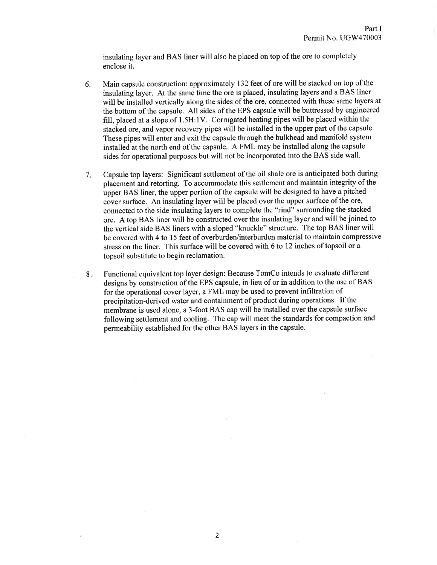insulating layer and BAS liner will also be placed on top of the ore to completely enclose it.

- 6. Main capsule construction: approximately 132 feet of ore will be stacked on top of the insulating layer. At the same time the ore is placed, insulating layers and a BAS liner will be installed vertically along the sides of the ore, connected with these same layers at the bottom of the capsule. All sides of the EPS capsule will be buttressed by engineered fill, placed at a slope of  $1.5H:1V$ . Corrugated heating pipes will be placed within the stacked ore, and vapor recovery pipes will be installed in the upper part of the capsule. These pipes will enter and exit the capsule through the bulkhead and manifold system installed at the north end of the capsule. A FML may be installed along the capsule sides for operational purposes but will not be incorporated into the BAS side wall.
- Capsule top layers: Significant settlement of the oil shale ore is anticipated both during placement and retorting. To accommodate this settlement and maintain integrity of the upper BAS liner, the upper portion of the capsule will be designed to have a pitched cover surface. An insulating layer will be placed over the upper surface of the ore, connected to the side insulating layers to complete the "rind" surrounding the stacked ore. A top BAS liner will be constructed over the insulating layer and will be joined to the vertical side BAS liners with a sloped "knuckle" structure. The top BAS liner will be covered with 4 to 15 feet of overburden/interburden material to maintain compressive stress on the liner. This surface will be covered with 6 to 12 inches of topsoil or a topsoil substitute to begin reclamation. 7
- Functional equivalent top layer design: Because TomCo intends to evaluate different designs by construction of the EPS capsule, in lieu of or in addition to the use of BAS for the operational cover layer, a FML may be used to prevent infiltration of precipitation-derived water and containment of product during operations. If the membrane is used alone, a 3-foot BAS cap will be installed over the capsule surface following settlement and cooling. The cap will meet the standards for compaction and permeability established for the other BAS layers in the capsule. 8.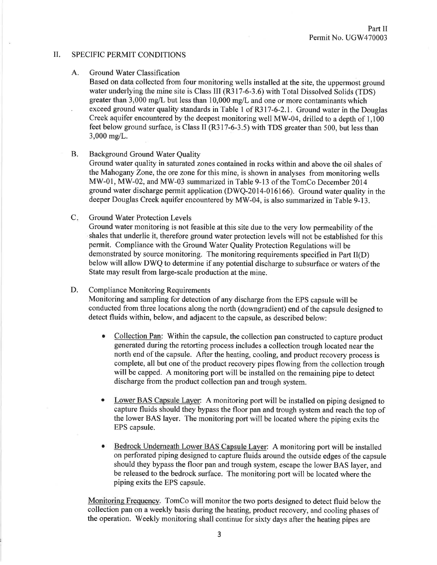#### il. SPECIFIC PERMIT CONDITIONS

#### A. Ground Water Classification

Based on data collected from four monitoring wells installed at the site, the uppermost ground water underlying the mine site is Class III (R317-6-3.6) with Total Dissolved Solids (TDS) greater than 3,000 mg/L but less than 10,000 mg/L and one or more contaminants which exceed ground water quality standards in Table 1 of R317-6-2.1. Ground water in the Douglas Creek aquifer encountered by the deepest monitoring well MW-04, drilled to a depth of 1,100 feet below ground surface, is Class II (R317-6-3.5) with TDS greater than 500, but less than 3,000 mg/L.

### B. Background Ground Water Quality

Ground water quality in saturated zones contained in rocks within and above the oil shales of the Mahogany Zone, the ore zone for this mine, is shown in analyses from monitoring wells MW-01, MW-02, and MW-03 summarized in Table 9-13 of the TomCo December 2014 ground water discharge permit application (DWQ-2014-016166). Ground water quality in the deeper Douglas Creek aquifer encountered by MW-04, is also summarized in Table 9-13.

#### Ground Water Protection Levels  $C_{\mathbb{R}}$

Ground water monitoring is not feasible at this site due to the very low permeability of the shales that underlie it, therefore ground water protection levels will not be established for this permit. Compliance with the Ground Water Quality Protection Regulations will be demonstrated by source monitoring. The monitoring requirements specified in Part II(D) below will allow DWQ to determine if any potential discharge to subsurface or waters of the State may result from large-scale production at the mine.

#### D. Compliance Monitoring Requirements

Monitoring and sampling for detection of any discharge from the EPS capsule will be conducted from three locations along the north (downgradient) end of the capsule designed to detect fluids within, below, and adjacent to the capsule, as described below:

- Collection Pan: Within the capsule, the collection pan constructed to capture product generated during the retorting process includes a collection trough located near the north end of the capsule. After the heating, cooling, and product recovery process is complete, all but one of the product recovery pipes flowing from the collection trough will be capped. A monitoring port will be installed on the remaining pipe to detect discharge from the product collection pan and trough system.
- Lower BAS Capsule Layer: A monitoring port will be installed on piping designed to capture fluids should they bypass the floor pan and trough system and reach the top of the lower BAS layer. The monitoring port will be located where the piping exits the EPS capsule. o
- Bedrock Underneath Lower BAS Capsule Layer: A monitoring port will be installed on perforated piping designed to capture fluids around the outside edges ofthe capsule should they bypass the floor pan and trough system, escape the lower BAS layer, and be released to the bedrock surface. The monitoring port will be located where the piping exits the EPS capsule.

Monitoring Frequencv. TomCo will monitor the two ports designed to detect fluid below the collection pan on a weekly basis during the heating, product recovery, and cooling phases of the operation. Weekly monitoring shall continue for sixty days after the heating pipes are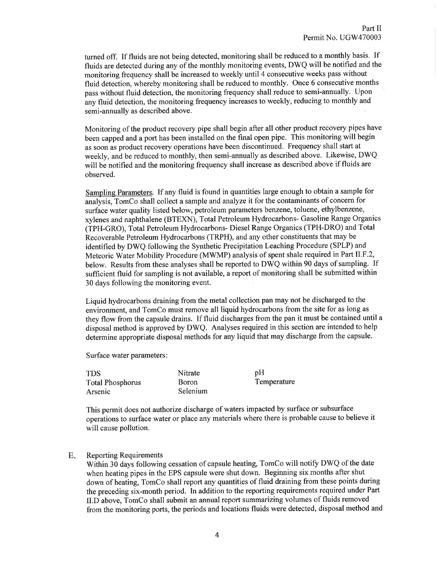turned off. If fluids are not being detected, monitoring shall be reduced to a monthly basis. If fluids are detected during any of the monthly monitoring events, DWQ will be notified and the monitoring frequency shall be increased to weekly until 4 consecutive weeks pass without fluid detection, whereby monitoring shall be reduced to monthly. Once 6 consecutive months pass without fluid detection, the monitoring frequency shall reduce to semi-annually. Upon any fluid detection, the monitoring frequency increases to weekly, reducing to monthly and semi-annually as described above.

Monitoring of the product recovery pipe shall begin after all other product recovery pipes have been capped and a port has been installed on the final open pipe. This monitoring will begin as soon as product recovery operations have been discontinued. Frequency shall start at weekly, and be reduced to monthly, then semi-annually as described above. Likewise, DWQ will be notified and the monitoring frequency shall increase as described above if fluids are observed.

Sampling Parameters. If any fluid is found in quantities large enough to obtain a sample for analysis, TomCo shall collect a sample and analyze it for the contaminants of concern for surface water quality listed below, petroleum parameters benzene, toluene, ethylbenzene, xylenes and naphthalene (BTEXN), Total Petroleum Hydrocarbons- Gasoline Range Organics (TPH-GRO), Total Petroleum Hydrocarbons- Diesel Range Organics (TPH-DRO) and Total Recoverable Petroleum Hydrocarbons (TRPH), and any other constituents that may be identified by DWQ following the Synthetic Precipitation Leaching Procedure (SPLP) and Meteoric Water Mobility Procedure (MWMP) analysis of spent shale required in Part ll.F.2, below. Results from these analyses shall be reported to DWQ within 90 days of sampling. If sufficient fluid for sampling is not available, a report of monitoring shall be submitted within 30 days following the monitoring event.

Liquid hydrocarbons draining from the metal collection pan may not be discharged to the environment, and TomCo must remove all liquid hydrocarbons from the site for as long as they flow from the capsule drains. If fluid discharges from the pan it must be contained until <sup>a</sup> disposal method is approved by DWQ. Analyses required in this section are intended to help determine appropriate disposal methods for any liquid that may discharge from the capsule.

Surface water parameters

| <b>TDS</b>              | Nitrate      | pH          |
|-------------------------|--------------|-------------|
| <b>Total Phosphorus</b> | <b>Boron</b> | Temperature |
| Arsenic                 | Selenium     |             |

This permit does not authorize discharge of waters impacted by surface or subsurface operations to surface water or place any materials where there is probable cause to believe it will cause pollution.

#### E Reporting Requirements

Within 30 days following cessation of capsule heating, TomCo will notify DWQ of the date when heating pipes in the EPS capsule were shut down. Beginning six months after shut down of heating, TomCo shall report any quantities of fluid draining from these points during the preceding six-month period. In addition to the reporting requirements required under Part ILD above, TomCo shall submit an annual report summarizing volumes of fluids removed from the monitoring ports, the periods and locations fluids were detected, disposal method and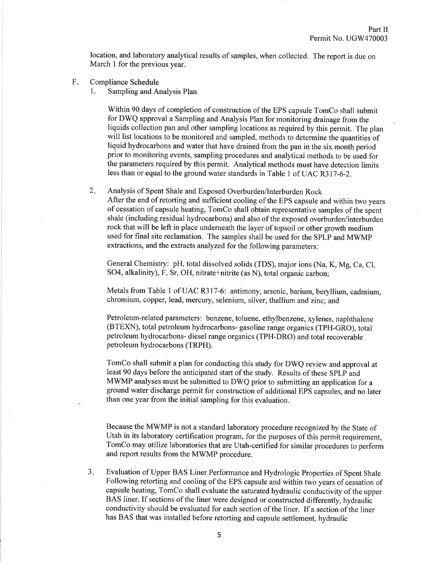location, and laboratory analytical results of samples, when collected. The report is due on March I for the previous year.

- F Compliance Schedule
	- 1. Sampling and Analysis Plan

Within 90 days of completion of construction of the EPS capsule TomCo shall submit for DWQ approval a Sampling and Analysis Plan for monitoring drainage from the liquids collection pan and other sampling locations as required by this permit. The plan will list locations to be monitored and sampled, methods to determine the quantities of liquid hydrocarbons and water that have drained from the pan in the six month period prior to monitoring events, sampling procedures and analytical methods to be used for the parameters required by this permit. Analytical methods must have detection limits less than or equal to the ground water standards in Table I of UAC R3l7-6-2.

Analysis of Spent Shale and Exposed Overburden/Interburden Rock After the end of retorting and sufficient cooling of the EPS capsule and within two years of cessation of capsule heating, TomCo shall obtain representative samples of the spent shale (including residual hydrocarbons) and also of the exposed overburden/interburden rock that will be left in place underneath the layer of topsoil or other growth medium used for final site reclamation. The samples shall be used for the SpLp and MwMp extractions, and the extracts analyzed for the following parameters:  $2.$ 

General Chemistry: pH, total dissolved solids (TDS), major ions (Na, K, Mg, Ca, Cl, SO4, alkalinity), F, Sr, OH, nitrate+nitrite (as N), total organic carbon;

Metals from Table I of UAC R3l7-6: antimony, arsenic, barium, beryllium, cadmium, chromium, copper, lead, mercury, selenium, silver, thallium and zinc; and

Petroleum-related parameters: benzene, toluene, ethylbenzene, xylenes, naphthalene (BTEXN), total petroleum hydrocarbons- gasoline range organics (TPH-GRO), total petroleum hydrocarbons- diesel range organics (TPH-DRO) and total recoverable petroleum hydrocarbons (TRPH).

TomCo shall submit a plan for conducting this study for DWQ review and approval at least 90 days before the anticipated start of the study. Results of these SPLP and MWMP analyses must be submitted to DWQ prior to submitting an application for <sup>a</sup> ground water discharge permit for construction of additional EPS capsules, and no later than one year from the initial sampling for this evaluation.

Because the MWMP is not a standard laboratory procedure recognized by the State of Utah in its laboratory certification program, for the purposes of this permit requirement, TomCo may utilize laboratories that are Utah-certified for similar procedures to perform and report results from the MWMP procedure.

Evaluation of Upper BAS Liner Performance and Hydrologic Properties of Spent Shale Following retorting and cooling of the EPS capsule and within two years of cessation of capsule heating, TomCo shall evaluate the saturated hydraulic conductivity of the upper BAS liner. If sections of the liner were designed or constructed differently, hydraulic conductivity should be evaluated for each section of the liner. If a section of the liner has BAS that was installed before retorting and capsule settlement, hydraulic  $3.$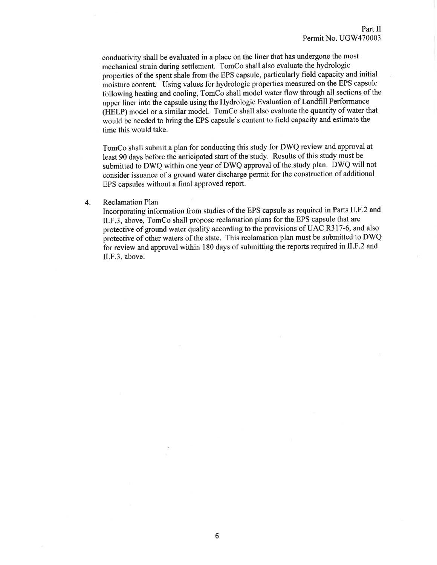conductivity shall be evaluated in a place on the liner that has undergone the most mechanical strain during settlement. TomCo shall also evaluate the hydrologic properties of the spent shale from the EPS capsule, particularly field capacity and initial moisture content. Using values for hydrologic properties measured on the EPS capsule following heating and cooling, TomCo shall model water flow through all sections of the upper liner into the capsule using the Hydrologic Evaluation of Landfill Performance (HELP) model or a similar model. TomCo shall also evaluate the quantity of water that would be needed to bring the EPS capsule's content to field capacity and estimate the time this would take.

TomCo shall submit a plan for conducting this study for DWQ review and approval at least 90 days before the anticipated start of the study. Results of this study must be submitted to DWQ within one year of DWQ approval of the study plan. DWQ will not consider issuance of a ground water discharge permit for the construction of additional EPS capsules without a final approved report.

#### 4. Reclamation Plan

Incorporating information from studies of the EPS capsule as required in Parts II.F.2 and ILF.3, above, TomCo shall propose reclamation plans for the EPS capsule that are protective of ground water quality according to the provisions of UAC R317-6, and also protective of other waters of the state. This reclamation plan must be submitted to DWQ for review and approval within 180 days of submitting the reports required in II.F.2 and II.F.3, above.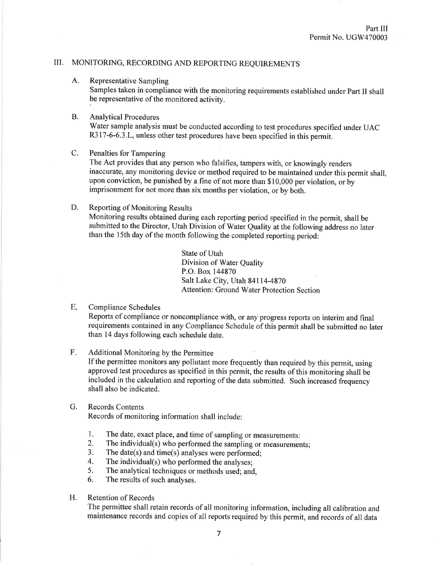## ilI. MONITORING, RECORDING AND REPORTING REQUIREMENTS

A. Representative Sampling

Samples taken in compliance with the monitoring requirements established under Part II shall be representative of the monitored activity.

### **B.** Analytical Procedures

Water sample analysis must be conducted according to test procedures specified under UAC R317-6-6.3.L, unless other test procedures have been specified in this permit.

### C. Penalties for Tampering

The Act provides that any person who falsifies, tampers with, or knowingly renders inaccurate, any monitoring device or method required to be maintained under this permit shall, upon conviction, be punished by a fine of not more than \$10,000 per violation, or by imprisonment for not more than six months per violation, or by both.

### D. Reporting of Monitoring Results Monitoring results obtained during each reporting period specified in the permit, shall be submitted to the Director, Utah Division of Water Quality at the following address no later than the l5th day of the month following the completed reporting period:

State of Utah Division of Water Quality P.O. Box 144870 Salt Lake City, Utah 84114-4870 Attention: Ground Water Protection Section

#### Compliance Schedules  $E_{\cdot}$

Reports of compliance or noncompliance with, or any progress reports on interim and final requirements contained in any Compliance Schedule of this permit shall be submitted no later than 14 days following each schedule date.

#### Additional Monitoring by the Permittee F

If the permittee monitors any pollutant more frequently than required by this permit, using approved test procedures as specifred in this permit, the results of this monitoring shall be included in the calculation and reporting of the data submitted. Such increased frequency shall also be indicated.

#### G. Records Contents

Records of monitoring information shall include:

- 1. The date, exact place, and time of sampling or measurements:<br>2. The individual(s) who performed the sampling or measurements
- The individual(s) who performed the sampling or measurements;
- 3. The date(s) and time(s) analyses were performed;
- 4. The individual(s) who performed the analyses;<br>5. The analytical techniques or methods used: and
- The analytical techniques or methods used; and,
- 6. The results of such analyses.
- Retention of Records H.

The permittee shall retain records of all monitoring information, including allcalibration and maintenance records and copies of all reports required by this permit, and records of all data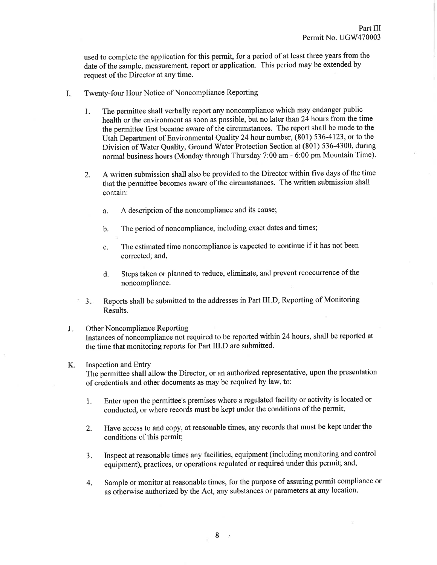used to complete the application for this permit, for a period of at least three years from the date of the sample, measurement, report or application. This period may be extended by request of the Director at any time.

- I. Twenty-four Hour Notice of Noncompliance Reporting
	- l. The permittee shall verbally report any noncompliance which may endanger public health or the environment as soon as possible, but no later than 24 hours from the time the permittee first became aware of the circumstances. The report shall be made to the Utah Department of Environmental Quality 24 hour number, (801) 536-4123, or to the Division of Water Quality, Ground Water Protection Section at (801) 536-4300, during normal business hours (Monday through Thursday 7:00 am - 6:00 pm Mountain Time).
	- 2. A written submission shall also be provided to the Director within five days of the time that the permittee becomes aware of the circumstances. The written submission shall contain:
		- a. A description of the noncompliance and its cause;
		- b. The period of noncompliance, including exact dates and times;
		- c. The estimated time noncompliance is expected to continue if it has not been corrected; and,
		- d. Steps taken or planned to reduce, eliminate, and prevent reoccurrence of the noncompliance.
	- $3.$ Reports shall be submitted to the addresses in Part III.D, Reporting of Monitoring Results.
- J. Other Noncompliance Reporting Instances of noncompliance not required to be reported within 24hours, shall be reported at the time that monitoring reports for Part III.D are submitted.

#### Inspection and Entry K.

Thé permittee shall allow the Director, or an authorized representative, upon the presentation of credentials and other documents as may be required by law, to:

- 1. Enter upon the permittee's premises where a regulated facility or activity is located or conducted, or where records must be kept under the conditions of the permit;
- 2. Have access to and copy, at reasonable times, any records that must be kept under the conditions of this permit;
- 3. Inspect at reasonable times any facilities, equipment (including monitoring and control equipment), practices, or operations regulated or required under this permit; and,
- 4. Sample or monitor at reasonable times, for the purpose of assuring permit compliance or as otherwise authorized by the Act, any substances or parameters at any location.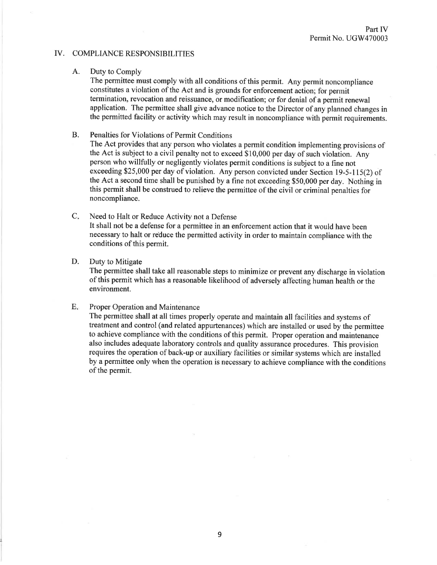### IV. COMPLIANCE RESPONSIBILITIES

### A. Duty to Comply

The permittee must comply with all conditions of this permit. Any permit noncompliance constitutes a violation of the Act and is grounds for enforcement action; for permit termination, revocation and reissuance, or modification; or for denial of a permit renewal application. The permittee shall give advance notice to the Director of any planned changes in the permitted facility or activity which may result in noncompliance with permit requirements.

B. Penalties for Violations of Permit Conditions

The Act provides that any person who violates a permit condition implementing provisions of the Act is subject to a civil penalty not to exceed \$10,000 per day of such violation. Any person who willfully or negligently violates permit conditions is subject to a fine not exceeding \$25,000 per day of violation. Any person convicted under Section 19-5-115(2) of the Act a second time shall be punished by a fîne not exceeding \$50,000 per day. Nothing in this permit shall be construed to relieve the permittee of the civil or criminal penalties for noncompliance.

Need to Halt or Reduce Activity not a Defense It shall not be a defense for a permittee in an enforcement action that it would have been necessary to halt or reduce the permitted activity in order to maintain compliance with the conditions of this permit.  $C_{\star}$ 

### D. Duty to Mitigate

The permittee shall take all reasonable steps to minimize or prevent any discharge in violation of this permit which has a reasonable likelihood of adversely affecting human health or the environment.

#### Proper Operation and Maintenance  $E.$

The permittee shall at all times properly operate and maintain all facilities and systems of treatment and control (and related appurtenances) which are installed or used by the permittee to achieve compliance with the conditions of this permit. Proper operation and maintenance also includes adequate laboratory controls and quality assurance procedures. This provision requires the operation of back-up or auxiliary facilities or similar systems which are installed by a permittee only when the operation is necessary to achieve compliance with the conditions of the permit.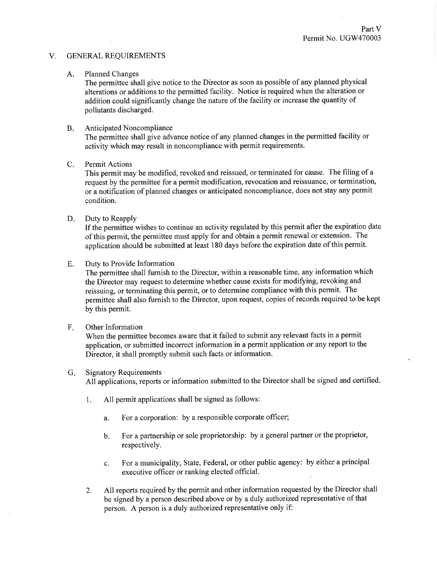#### V. GENERAL REQUIREMENTS

### A. Planned Changes

The permittee shall give notice to the Director as soon as possible of any planned physical alterations or additions to the permitted facility. Notice is required when the alteration or addition could significantly change the nature of the facility or increase the quantity of pollutants discharged.

#### Anticipated Noncompliance B.

The permittee shall give advance notice of any planned changes in the permitted facility or activity which may result in noncompliance with permit requirements.

#### Permit Actions  $C<sub>1</sub>$

This permit may be modified, revoked and reissued, or terminated for cause. The filing of <sup>a</sup> request by the permittee for a permit modification, revocation and reissuance, or termination, or a notification of planned changes or anticipated noncompliance, does not stay any permit condition.

### D. Duty to Reapply

If the permittee wishes to continue an activity regulated by this permit after the expiration date of this permit, the permittee must apply for and obtain a permit renewal or extension. The application should be submitted at least 180 days before the expiration date of this permit.

### E. Duty to Provide Information

The permittee shall furnish to the Director, within a reasonable time, any information which the Director may request to determine whether cause exists for modifying, revoking and reissuing, or terminating this permit, or to determine compliance with this permit. The permittee shall also fumish to the Director, upon request, copies of records required to be kept by this permit.

#### Other Information F

When the permittee becomes aware that it failed to submit any relevant facts in a permit application, or submitted incorrect information in a permit application or any report to the Director, it shall promptly submit such facts or information.

#### G. Signatory Requirements

All applications, reports or information submitted to the Director shall be signed and certified.

- 1. All permit applications shall be signed as follows:
	- a. For a corporation: by a responsible corporate officer;
	- For a partnership or sole proprietorship: by a general partner or the proprietor, respectively.  $\mathbf{b}$ .
	- c. For a municipality, State, Federal, or other public agency: by either a principal executive officer or ranking elected official.
- All reports required by the permit and other information requested by the Director shall be signed by a person described above or by a duly authorized representative of that person. A person is a duly authorized representative only if:  $2.$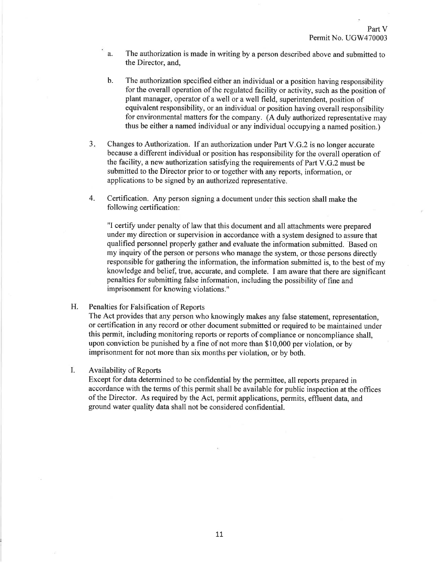- a. The authorization is made in writing by a person described above and submitted to the Director, and,
- b. The authorization specified either an individual or a position having responsibility for the overall operation of the rcgulatcd facility or activity, such as the position of plant manager, operator of a well or a well field, superintendent, position of equivalent responsibility, or an individual or position having overall responsibility for environmental matters for the company. (A duly authorized representative may thus be either a named individual or any individual occupying a named position.)
- Changes to Authorization. If an authorization under Part V.G.2 is no longer accurate because a different individual or position has responsibility for the overall operation of the facility, a new authorization satisfying the requirements of Part V.G.2 must be submitted to the Director prior to or together with any reports, information, or applications to be signed by an authorized representative.  $3.$
- 4. Certification. Any person signing a document under this section shall make the following certification:

"I certify under penalty of law that this document and all attachments were prepared under my direction or supervision in accordance with a system designed to assure that qualified personnel properly gather and evaluate the information submitted. 'Based on my inquiry of the person or persons who manage the system, or those persons directly responsible for gathering the information, the information submitted is, to the best of my knowledge and belief; true, accurate, and complete. I am aware that there are significant penalties for submitting false information, including the possibility of fine and imprisonment for knowing violations."

### H. Penalties for Falsification of Reports

The Act provides that any person who knowingly makes any false statement, representation, or certification in any record or other document submitted or required to be maintained under this permit, including monitoring reports or reports of compliance or noncompliance shall, upon conviction be punished by a fine of not more than \$10,000 per violation, or by imprisonment for not more than six months per violation, or by both.

#### Availability of Reports I.

Except for data determined to be confidential by the permiffee, all reports prepared in accordance with the terms of this permit shall be available for public inspection at the offices of the Director. As required by the Act, permit applications, permits, effluent data, and ground water quality data shall not be considered confidential.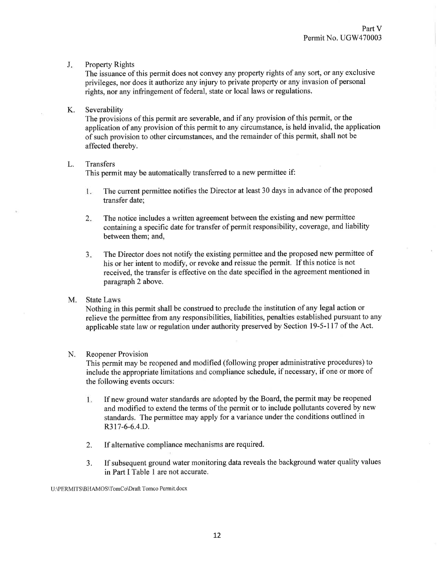#### Property Rights  $J_{\star}$

The issuance of this permit does not convey any property rights of any sort, or any exclusive privileges, nor does it authorize any injury to private property or any invasion ofpersonal rights, nor any infringement of federal, state or local laws or regulations.

### K. Severability

The provisions of this permit are severable, and if any provision of this permit, or the application of any provision of this permit to any circumstance, is held invalid, the application of such provision to other circumstances, and the remainder of this permit, shall not be affected thereby.

### L. Transfers

This permit may be automatically transferred to a new permittee if:

- The current permittee notifies the Director at least 30 days in advance of the proposed 1. transfer date;
- The notice includes a written agreement between the existing and new permittee containing a specific date for transfer of permit responsibility, coverage, and liability between them; and,  $2.$
- The Director does not notify the existing permittee and the proposed new permittee of his or her intent to modify, or revoke and reissue the permit. If this notice is not received, the transfer is effective on the date specified in the agreement mentioned in paragraph 2 above.  $3<sub>1</sub>$

### M. State Laws

Nothing in this permit shall be construed to preclude the institution of any legal action or relieve the permittee from any responsibilities, liabilities, penalties established pursuant to any applicable state law or regulation under authority preserved by Section 19-5-117 of the Act.

#### N. Reopener Provision

This permit may be reopened and modified (following proper administrative procedures) to include the appropriate limitations and compliance schedule, if necessary, if one or more of the following events occurs:

- If new ground water standards are adopted by the Board, the permit may be reopened 1. and modified to extend the terms of the permit or to include pollutants covered by new standards. The permittee may apply for a variance under the conditions outlined in R317-6-6.4.D.
- If alternative compliance mechanisms are required. 2.
- If subsequent ground water monitoring data reveals the background water quality values in Part I Table 1 are not accurate. J.

<sup>U</sup>:\PERMITS\BHAMOS\TomCo\Draft Tomco Permit. docx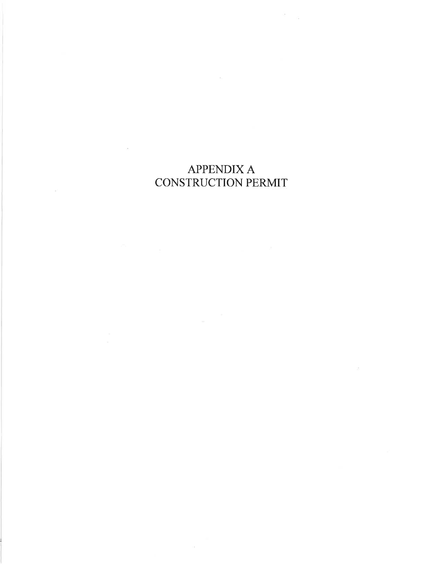# APPENDIX A CONSTRUCTION PERMIT

 $\langle \overline{\tau} \rangle$ 

 $\sim$ 

 $\alpha$ 

 $\sim$  $\sqrt{q}$ 

 $\mathcal{L}$